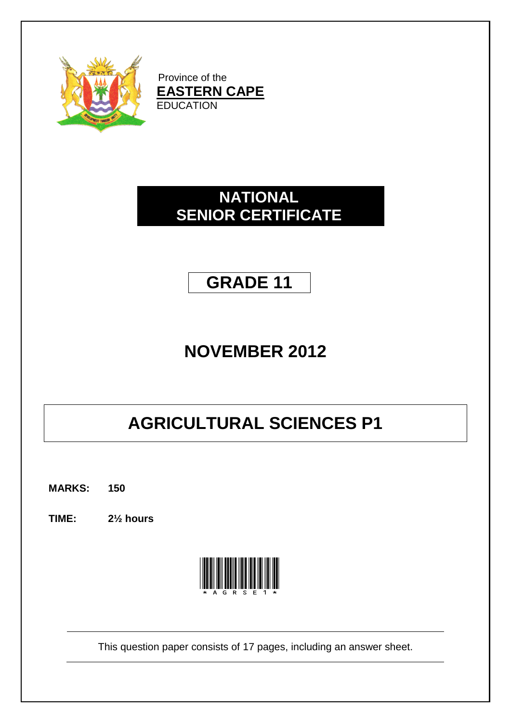

Province of the **EASTERN CAPE EDUCATION** 

## **NATIONAL SENIOR CERTIFICATE**

## **GRADE 11**

# **NOVEMBER 2012**

# **AGRICULTURAL SCIENCES P1**

**MARKS: 150**

**TIME: 2½ hours**



This question paper consists of 17 pages, including an answer sheet.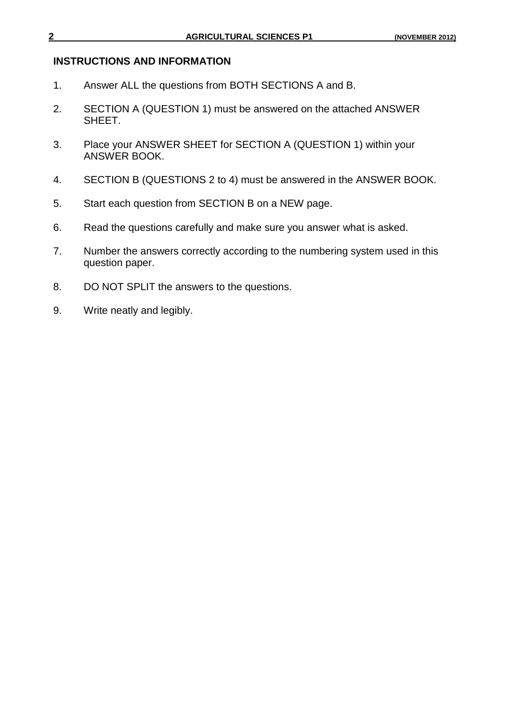### **INSTRUCTIONS AND INFORMATION**

- 1. Answer ALL the questions from BOTH SECTIONS A and B.
- 2. SECTION A (QUESTION 1) must be answered on the attached ANSWER SHEET.
- 3. Place your ANSWER SHEET for SECTION A (QUESTION 1) within your ANSWER BOOK.
- 4. SECTION B (QUESTIONS 2 to 4) must be answered in the ANSWER BOOK.
- 5. Start each question from SECTION B on a NEW page.
- 6. Read the questions carefully and make sure you answer what is asked.
- 7. Number the answers correctly according to the numbering system used in this question paper.
- 8. DO NOT SPLIT the answers to the questions.
- 9. Write neatly and legibly.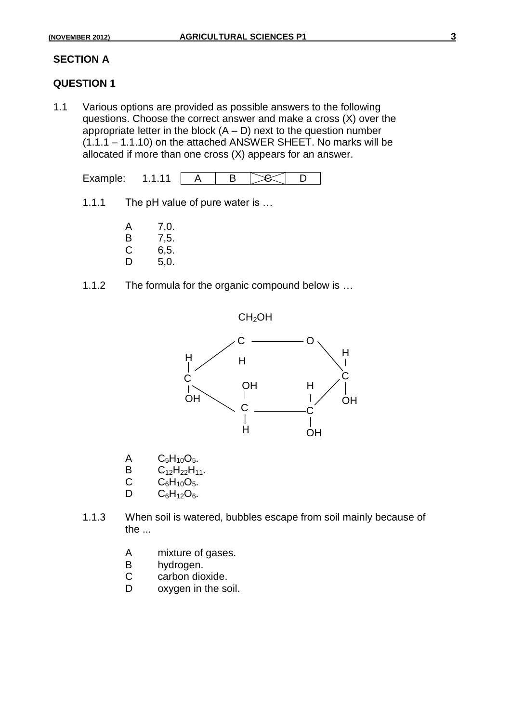### **SECTION A**

### **QUESTION 1**

1.1 Various options are provided as possible answers to the following questions. Choose the correct answer and make a cross (X) over the appropriate letter in the block  $(A - D)$  next to the question number (1.1.1 – 1.1.10) on the attached ANSWER SHEET. No marks will be allocated if more than one cross (X) appears for an answer.

$$
Example: 1.1.11 \quad A \quad B \quad B
$$

- 1.1.1 The pH value of pure water is …
	- A 7,0. B 7,5.<br>C 6.5.  $6, 5.$
	- D 5,0.
- 1.1.2 The formula for the organic compound below is …



- A  $C_5H_{10}O_5$ .
- B  $C_{12}H_{22}H_{11}$ .<br>C  $C_{6}H_{10}O_{5}$ .
- $C = C_6H_{10}O_5.$ <br>D  $C_6H_{12}O_6.$
- $C_6H_{12}O_6.$
- 1.1.3 When soil is watered, bubbles escape from soil mainly because of the ...
	- A mixture of gases.
	- B hydrogen.
	- C carbon dioxide.
	- D oxygen in the soil.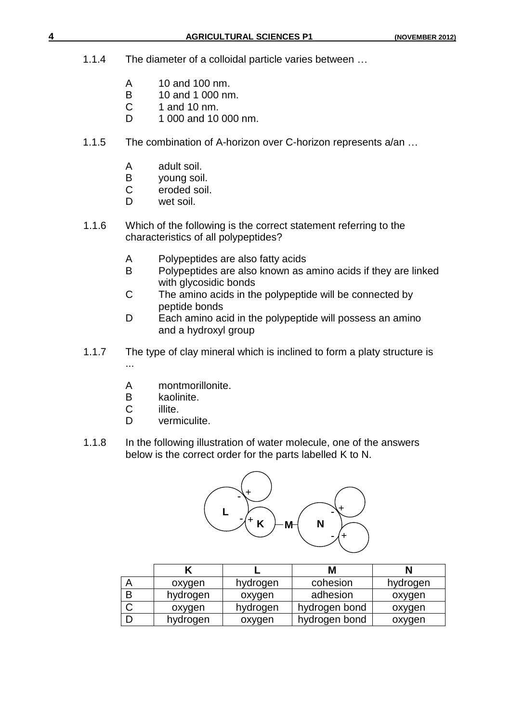- 1.1.4 The diameter of a colloidal particle varies between …
	- A 10 and 100 nm.
	- B 10 and 1 000 nm.<br>C 1 and 10 nm.
	- 1 and 10 nm.
	- D 1 000 and 10 000 nm.
- 1.1.5 The combination of A-horizon over C-horizon represents a/an …
	- A adult soil.<br>B voung soil
	- B young soil.<br>C eroded soil
	- eroded soil.
	- D wet soil.
- 1.1.6 Which of the following is the correct statement referring to the characteristics of all polypeptides?
	- A Polypeptides are also fatty acids
	- B Polypeptides are also known as amino acids if they are linked with glycosidic bonds
	- C The amino acids in the polypeptide will be connected by peptide bonds
	- D Each amino acid in the polypeptide will possess an amino and a hydroxyl group
- 1.1.7 The type of clay mineral which is inclined to form a platy structure is ...
	- A montmorillonite.
	- B kaolinite.<br>C illite.
	- illite.
	- D vermiculite.
- 1.1.8 In the following illustration of water molecule, one of the answers below is the correct order for the parts labelled K to N.



|   |          |          | M             | N        |
|---|----------|----------|---------------|----------|
| Α | oxygen   | hydrogen | cohesion      | hydrogen |
| B | hydrogen | oxygen   | adhesion      | oxygen   |
| ◡ | oxygen   | hydrogen | hydrogen bond | oxygen   |
|   | hydrogen | oxygen   | hydrogen bond | oxygen   |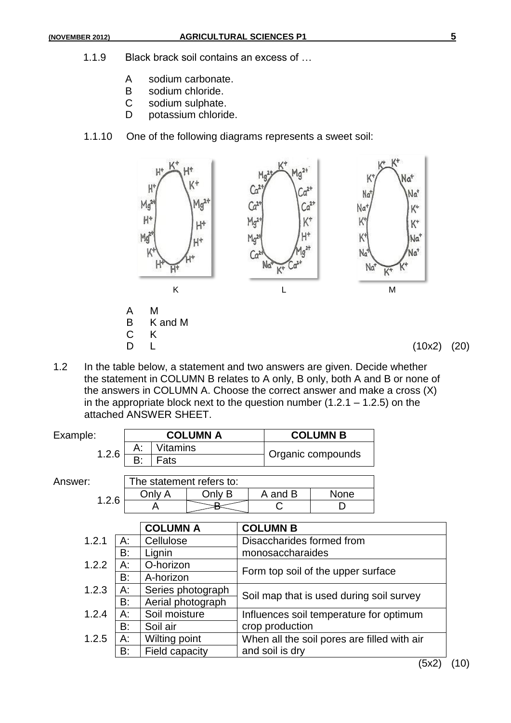- 1.1.9 Black brack soil contains an excess of …
	- A sodium carbonate.<br>B sodium chloride.
	- B sodium chloride.<br>C sodium sulphate.
	- sodium sulphate.
	- D potassium chloride.
- 1.1.10 One of the following diagrams represents a sweet soil:



1.2 In the table below, a statement and two answers are given. Decide whether the statement in COLUMN B relates to A only, B only, both A and B or none of the answers in COLUMN A. Choose the correct answer and make a cross (X) in the appropriate block next to the question number  $(1.2.1 - 1.2.5)$  on the attached ANSWER SHEET.

| Example:    |    |                   | <b>COLUMN A</b>          |                                                                                     |                        | <b>COLUMN B</b>   |        |  |
|-------------|----|-------------------|--------------------------|-------------------------------------------------------------------------------------|------------------------|-------------------|--------|--|
| 1.2.6       |    | Vitamins<br>А:    |                          |                                                                                     |                        | Organic compounds |        |  |
|             |    | B:<br>Fats        |                          |                                                                                     |                        |                   |        |  |
| Answer:     |    |                   | The statement refers to: |                                                                                     |                        |                   |        |  |
|             |    | Only A            | Only B                   |                                                                                     | A and B<br><b>None</b> |                   |        |  |
| 1.2.6       |    | A                 | ℞                        |                                                                                     |                        | D                 |        |  |
|             |    |                   |                          |                                                                                     |                        |                   |        |  |
|             |    | <b>COLUMN A</b>   |                          |                                                                                     | <b>COLUMN B</b>        |                   |        |  |
| 1.2.1<br>А: |    | Cellulose         |                          | Disaccharides formed from                                                           |                        |                   |        |  |
|             | B: | Lignin            |                          | monosaccharaides                                                                    |                        |                   |        |  |
| 1.2.2       | А: | O-horizon         |                          |                                                                                     |                        |                   |        |  |
|             | B: | A-horizon         |                          | Form top soil of the upper surface                                                  |                        |                   |        |  |
| 1.2.3       | А: | Series photograph |                          | Soil map that is used during soil survey<br>Influences soil temperature for optimum |                        |                   |        |  |
|             | B: | Aerial photograph |                          |                                                                                     |                        |                   |        |  |
| 1.2.4       | А: | Soil moisture     |                          |                                                                                     |                        |                   |        |  |
|             | B: | Soil air          |                          | crop production                                                                     |                        |                   |        |  |
| 1.2.5       | А: | Wilting point     |                          | When all the soil pores are filled with air                                         |                        |                   |        |  |
|             | B: | Field capacity    |                          | and soil is dry                                                                     |                        |                   |        |  |
|             |    |                   |                          |                                                                                     |                        |                   | $\sim$ |  |

(5x2) (10)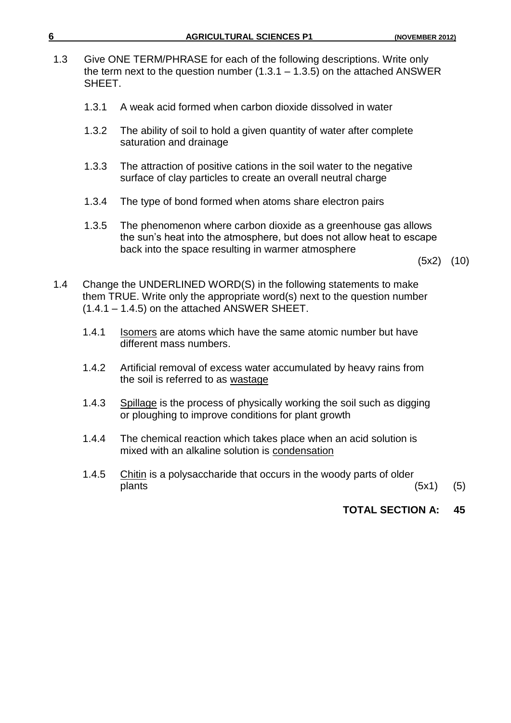| 6   |        | <b>AGRICULTURAL SCIENCES P1</b>                                                                                                                                                                   | (NOVEMBER 2012) |      |
|-----|--------|---------------------------------------------------------------------------------------------------------------------------------------------------------------------------------------------------|-----------------|------|
| 1.3 | SHEET. | Give ONE TERM/PHRASE for each of the following descriptions. Write only<br>the term next to the question number $(1.3.1 - 1.3.5)$ on the attached ANSWER                                          |                 |      |
|     | 1.3.1  | A weak acid formed when carbon dioxide dissolved in water                                                                                                                                         |                 |      |
|     | 1.3.2  | The ability of soil to hold a given quantity of water after complete<br>saturation and drainage                                                                                                   |                 |      |
|     | 1.3.3  | The attraction of positive cations in the soil water to the negative<br>surface of clay particles to create an overall neutral charge                                                             |                 |      |
|     | 1.3.4  | The type of bond formed when atoms share electron pairs                                                                                                                                           |                 |      |
|     | 1.3.5  | The phenomenon where carbon dioxide as a greenhouse gas allows<br>the sun's heat into the atmosphere, but does not allow heat to escape<br>back into the space resulting in warmer atmosphere     |                 |      |
|     |        |                                                                                                                                                                                                   |                 | (10) |
| 1.4 |        | Change the UNDERLINED WORD(S) in the following statements to make<br>them TRUE. Write only the appropriate word(s) next to the question number<br>$(1.4.1 - 1.4.5)$ on the attached ANSWER SHEET. |                 |      |
|     | 1.4.1  | Isomers are atoms which have the same atomic number but have<br>different mass numbers.                                                                                                           |                 |      |
|     | 1.4.2  | Artificial removal of excess water accumulated by heavy rains from<br>the soil is referred to as wastage                                                                                          |                 |      |
|     | 1.4.3  | Spillage is the process of physically working the soil such as digging<br>or ploughing to improve conditions for plant growth                                                                     |                 |      |
|     | 1.4.4  | The chemical reaction which takes place when an acid solution is<br>mixed with an alkaline solution is condensation                                                                               |                 |      |
|     | 1.4.5  | Chitin is a polysaccharide that occurs in the woody parts of older                                                                                                                                |                 |      |
|     |        | plants                                                                                                                                                                                            | (5x1)           | (5)  |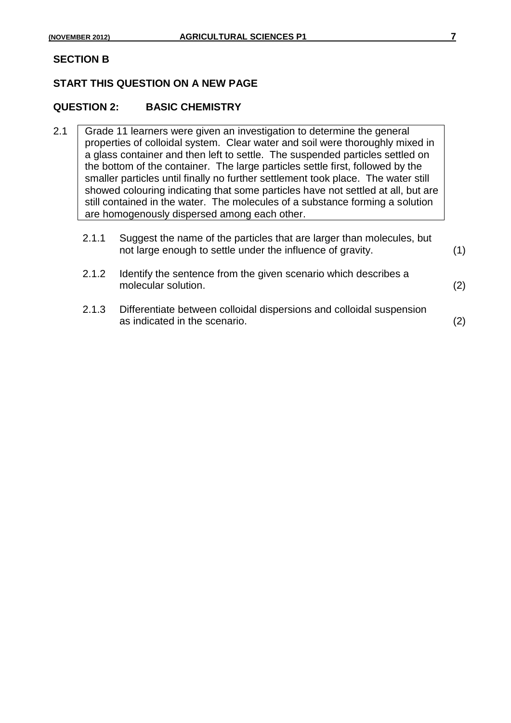### **SECTION B**

### **START THIS QUESTION ON A NEW PAGE**

### **QUESTION 2: BASIC CHEMISTRY**

2.1 Grade 11 learners were given an investigation to determine the general properties of colloidal system. Clear water and soil were thoroughly mixed in a glass container and then left to settle. The suspended particles settled on the bottom of the container. The large particles settle first, followed by the smaller particles until finally no further settlement took place. The water still showed colouring indicating that some particles have not settled at all, but are still contained in the water. The molecules of a substance forming a solution are homogenously dispersed among each other.

| 2.1.1 | Suggest the name of the particles that are larger than molecules, but<br>not large enough to settle under the influence of gravity. |     |
|-------|-------------------------------------------------------------------------------------------------------------------------------------|-----|
| 2.1.2 | Identify the sentence from the given scenario which describes a<br>molecular solution.                                              | (2) |
| 2.1.3 | Differentiate between colloidal dispersions and colloidal suspension<br>as indicated in the scenario.                               |     |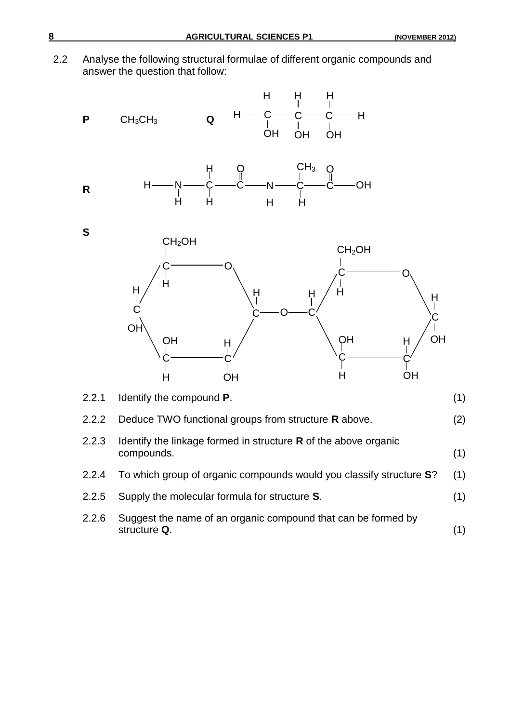2.2 Analyse the following structural formulae of different organic compounds and answer the question that follow:

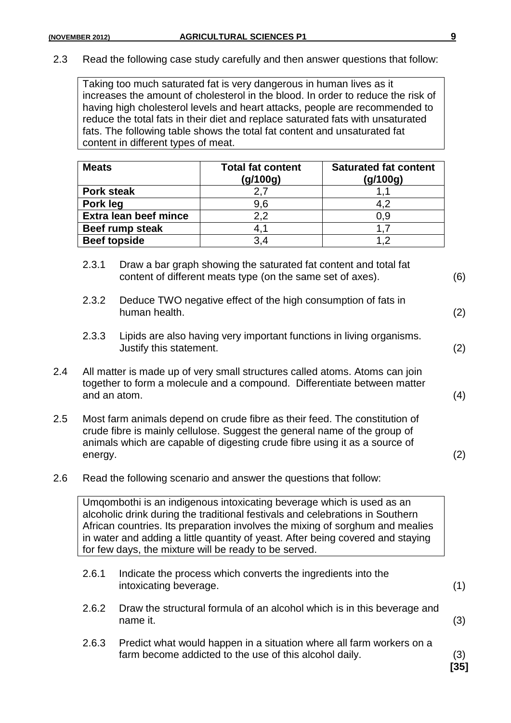2.3 Read the following case study carefully and then answer questions that follow:

Taking too much saturated fat is very dangerous in human lives as it increases the amount of cholesterol in the blood. In order to reduce the risk of having high cholesterol levels and heart attacks, people are recommended to reduce the total fats in their diet and replace saturated fats with unsaturated fats. The following table shows the total fat content and unsaturated fat content in different types of meat.

| <b>Meats</b>                 | <b>Total fat content</b><br>(g/100g) | <b>Saturated fat content</b><br>(g/100g) |
|------------------------------|--------------------------------------|------------------------------------------|
| <b>Pork steak</b>            |                                      |                                          |
| Pork leg                     | 9,6                                  | 4,2                                      |
| <b>Extra lean beef mince</b> | 2,2                                  | 0,9                                      |
| Beef rump steak              | 4,1                                  |                                          |
| <b>Beef topside</b>          | 3.4                                  | 1.2                                      |

- 2.3.1 Draw a bar graph showing the saturated fat content and total fat content of different meats type (on the same set of axes). (6)
- 2.3.2 Deduce TWO negative effect of the high consumption of fats in human health. (2)
- 2.3.3 Lipids are also having very important functions in living organisms. Justify this statement. (2)
- 2.4 All matter is made up of very small structures called atoms. Atoms can join together to form a molecule and a compound. Differentiate between matter and an atom. (4)
- 2.5 Most farm animals depend on crude fibre as their feed. The constitution of crude fibre is mainly cellulose. Suggest the general name of the group of animals which are capable of digesting crude fibre using it as a source of energy. (2)
- 2.6 Read the following scenario and answer the questions that follow:

Umqombothi is an indigenous intoxicating beverage which is used as an alcoholic drink during the traditional festivals and celebrations in Southern African countries. Its preparation involves the mixing of sorghum and mealies in water and adding a little quantity of yeast. After being covered and staying for few days, the mixture will be ready to be served.

- 2.6.1 Indicate the process which converts the ingredients into the intoxicating beverage. (1)
- 2.6.2 Draw the structural formula of an alcohol which is in this beverage and name it.  $(3)$
- 2.6.3 Predict what would happen in a situation where all farm workers on a farm become addicted to the use of this alcohol daily. (3)

**[35]**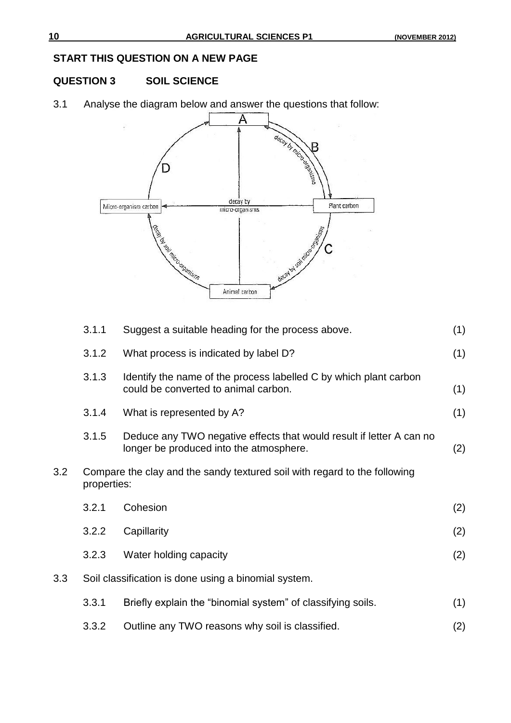### **START THIS QUESTION ON A NEW PAGE**

### **QUESTION 3 SOIL SCIENCE**

3.1 Analyse the diagram below and answer the questions that follow:



|     | 3.1.1                                                                                    | Suggest a suitable heading for the process above.                                                               | (1) |  |  |
|-----|------------------------------------------------------------------------------------------|-----------------------------------------------------------------------------------------------------------------|-----|--|--|
|     | 3.1.2                                                                                    | What process is indicated by label D?                                                                           | (1) |  |  |
|     | 3.1.3                                                                                    | Identify the name of the process labelled C by which plant carbon<br>could be converted to animal carbon.       | (1) |  |  |
|     | 3.1.4                                                                                    | What is represented by A?                                                                                       | (1) |  |  |
|     | 3.1.5                                                                                    | Deduce any TWO negative effects that would result if letter A can no<br>longer be produced into the atmosphere. | (2) |  |  |
| 3.2 | Compare the clay and the sandy textured soil with regard to the following<br>properties: |                                                                                                                 |     |  |  |
|     | 3.2.1                                                                                    | Cohesion                                                                                                        | (2) |  |  |
|     | 3.2.2                                                                                    | Capillarity                                                                                                     | (2) |  |  |
|     | 3.2.3                                                                                    | Water holding capacity                                                                                          | (2) |  |  |
| 3.3 |                                                                                          | Soil classification is done using a binomial system.                                                            |     |  |  |
|     | 3.3.1                                                                                    | Briefly explain the "binomial system" of classifying soils.                                                     | (1) |  |  |
|     | 3.3.2                                                                                    | Outline any TWO reasons why soil is classified.                                                                 | (2) |  |  |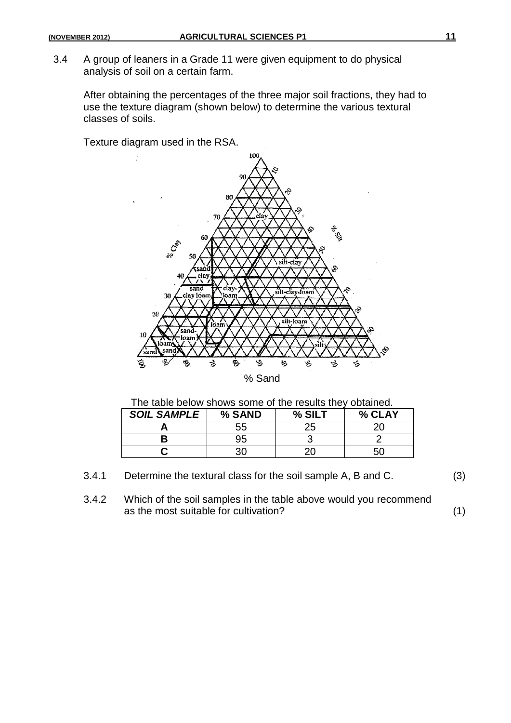3.4 A group of leaners in a Grade 11 were given equipment to do physical analysis of soil on a certain farm.

After obtaining the percentages of the three major soil fractions, they had to use the texture diagram (shown below) to determine the various textural classes of soils.

Texture diagram used in the RSA.



The table below shows some of the results they obtained.

| <b>SOIL SAMPLE</b> | % SAND | % SIL | % CLAY |  |
|--------------------|--------|-------|--------|--|
|                    | 55     |       |        |  |
|                    |        |       |        |  |
|                    |        |       | . ורי  |  |

- 3.4.1 Determine the textural class for the soil sample A, B and C. (3)
- 3.4.2 Which of the soil samples in the table above would you recommend as the most suitable for cultivation? (1)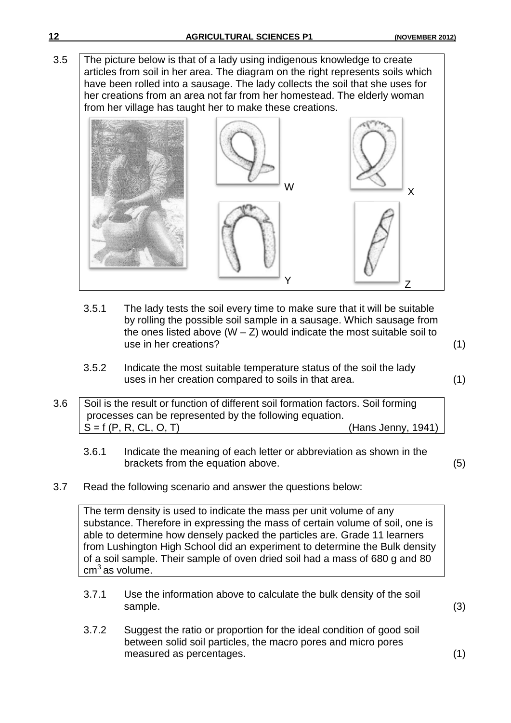3.5 The picture below is that of a lady using indigenous knowledge to create articles from soil in her area. The diagram on the right represents soils which have been rolled into a sausage. The lady collects the soil that she uses for her creations from an area not far from her homestead. The elderly woman from her village has taught her to make these creations.



- 3.5.1 The lady tests the soil every time to make sure that it will be suitable by rolling the possible soil sample in a sausage. Which sausage from the ones listed above  $(W - Z)$  would indicate the most suitable soil to use in her creations? (1)
- 3.5.2 Indicate the most suitable temperature status of the soil the lady uses in her creation compared to soils in that area. (1)

3.6 Soil is the result or function of different soil formation factors. Soil forming processes can be represented by the following equation.  $S = f(P, R, CL, O, T)$  (Hans Jenny, 1941)

- 3.6.1 Indicate the meaning of each letter or abbreviation as shown in the brackets from the equation above. (5)
- 3.7 Read the following scenario and answer the questions below:

The term density is used to indicate the mass per unit volume of any substance. Therefore in expressing the mass of certain volume of soil, one is able to determine how densely packed the particles are. Grade 11 learners from Lushington High School did an experiment to determine the Bulk density of a soil sample. Their sample of oven dried soil had a mass of 680 g and 80  $cm<sup>3</sup>$  as volume.

- 3.7.1 Use the information above to calculate the bulk density of the soil sample. (3)
- 3.7.2 Suggest the ratio or proportion for the ideal condition of good soil between solid soil particles, the macro pores and micro pores measured as percentages. (1)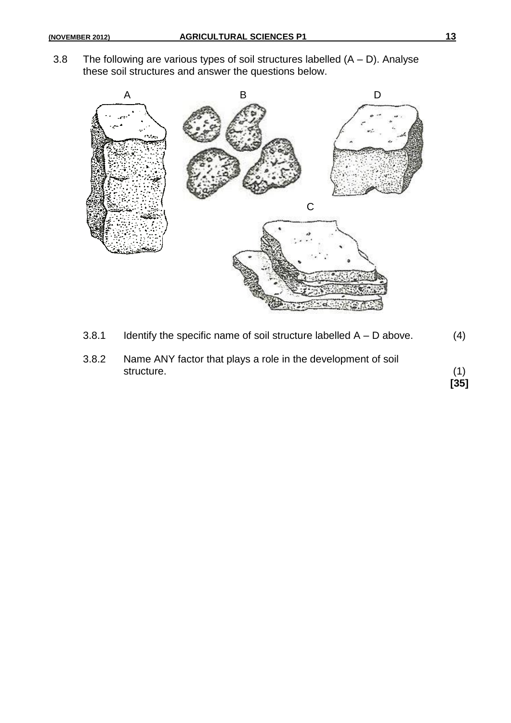3.8 The following are various types of soil structures labelled  $(A - D)$ . Analyse these soil structures and answer the questions below.



3.8.1 Identify the specific name of soil structure labelled  $A - D$  above.  $(4)$ 3.8.2 Name ANY factor that plays a role in the development of soil structure. (1) **[35]**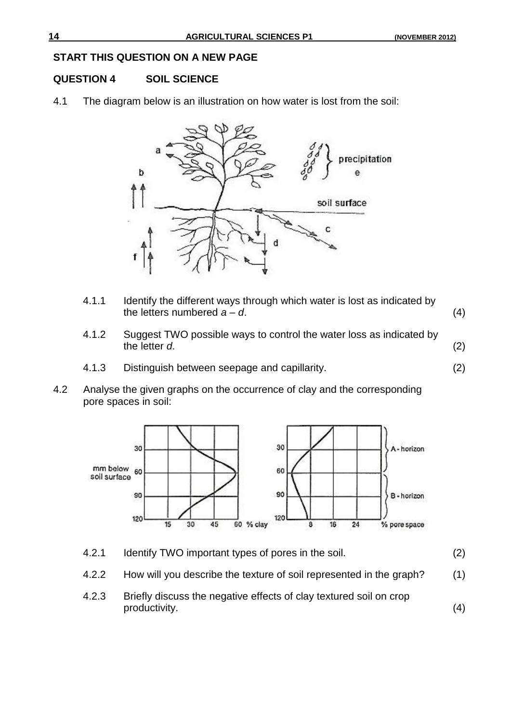### **START THIS QUESTION ON A NEW PAGE**

### **QUESTION 4 SOIL SCIENCE**

4.1 The diagram below is an illustration on how water is lost from the soil:



- 4.1.1 Identify the different ways through which water is lost as indicated by the letters numbered  $a - d$ .  $(4)$
- 4.1.2 Suggest TWO possible ways to control the water loss as indicated by the letter *d*. (2)
- 4.1.3 Distinguish between seepage and capillarity. (2)
- 4.2 Analyse the given graphs on the occurrence of clay and the corresponding pore spaces in soil:



- 4.2.1 Identify TWO important types of pores in the soil. (2)
- 4.2.2 How will you describe the texture of soil represented in the graph? (1)
- 4.2.3 Briefly discuss the negative effects of clay textured soil on crop productivity. (4)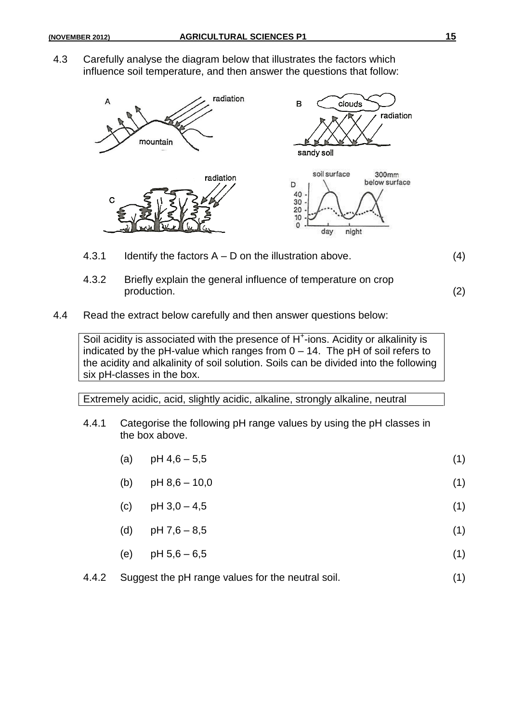4.3 Carefully analyse the diagram below that illustrates the factors which influence soil temperature, and then answer the questions that follow:



- 4.3.1 Identify the factors  $A D$  on the illustration above. (4)
- 4.3.2 Briefly explain the general influence of temperature on crop production. (2)
- 4.4 Read the extract below carefully and then answer questions below:

Soil acidity is associated with the presence of H<sup>+</sup>-ions. Acidity or alkalinity is indicated by the pH-value which ranges from  $0 - 14$ . The pH of soil refers to the acidity and alkalinity of soil solution. Soils can be divided into the following six pH-classes in the box.

Extremely acidic, acid, slightly acidic, alkaline, strongly alkaline, neutral

- 4.4.1 Categorise the following pH range values by using the pH classes in the box above.
	- (a)  $pH 4,6-5,5$  (1)
	- (b)  $pH 8,6 10,0$  (1)
	- (c)  $pH 3,0-4,5$  (1)
	- (d)  $pH 7,6 8,5$  (1)
	- (e)  $pH 5,6-6,5$  (1)
- 4.4.2 Suggest the pH range values for the neutral soil. (1)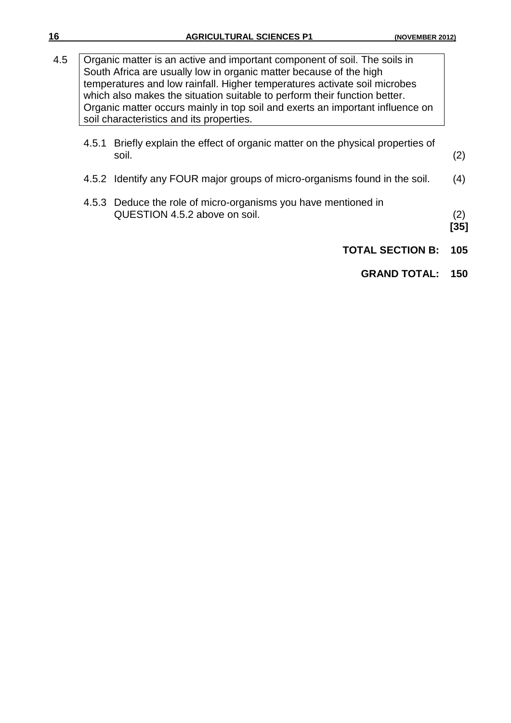| 16  |                                                                                                                                                                                                                                                                                                                                                                                                                                        | <b>AGRICULTURAL SCIENCES P1</b><br>(NOVEMBER 2012                                               |               |  |
|-----|----------------------------------------------------------------------------------------------------------------------------------------------------------------------------------------------------------------------------------------------------------------------------------------------------------------------------------------------------------------------------------------------------------------------------------------|-------------------------------------------------------------------------------------------------|---------------|--|
| 4.5 | Organic matter is an active and important component of soil. The soils in<br>South Africa are usually low in organic matter because of the high<br>temperatures and low rainfall. Higher temperatures activate soil microbes<br>which also makes the situation suitable to perform their function better.<br>Organic matter occurs mainly in top soil and exerts an important influence on<br>soil characteristics and its properties. |                                                                                                 |               |  |
|     | 4.5.1                                                                                                                                                                                                                                                                                                                                                                                                                                  | Briefly explain the effect of organic matter on the physical properties of<br>soil.             | (2)           |  |
|     |                                                                                                                                                                                                                                                                                                                                                                                                                                        | 4.5.2 Identify any FOUR major groups of micro-organisms found in the soil.                      | (4)           |  |
|     |                                                                                                                                                                                                                                                                                                                                                                                                                                        | 4.5.3 Deduce the role of micro-organisms you have mentioned in<br>QUESTION 4.5.2 above on soil. | (2)<br>$[35]$ |  |
|     |                                                                                                                                                                                                                                                                                                                                                                                                                                        | <b>TOTAL SECTION B:</b>                                                                         | 105           |  |
|     |                                                                                                                                                                                                                                                                                                                                                                                                                                        | <b>GRAND TOTAL:</b>                                                                             | 150           |  |